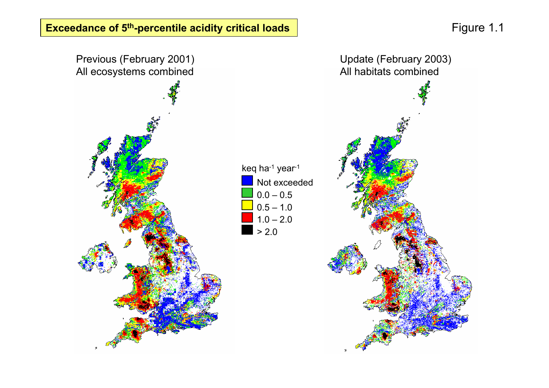Figure 1.1

**Exceedance of 5th-percentile acidity critical loads**

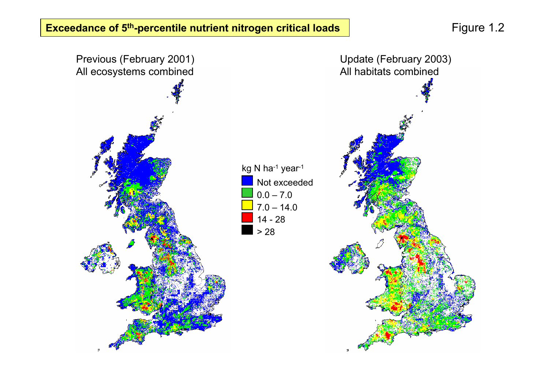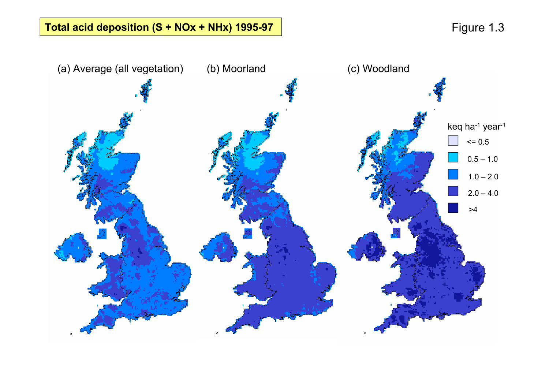# Total acid deposition (S + NOx + NHx) 1995-97 **Figure 1.3**

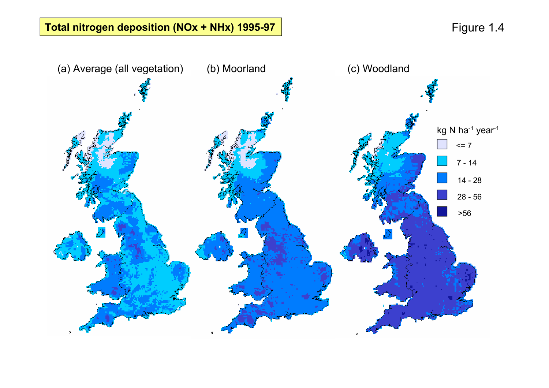# **Total nitrogen deposition (NOx + NHx) 1995-97 Figure 1.4**

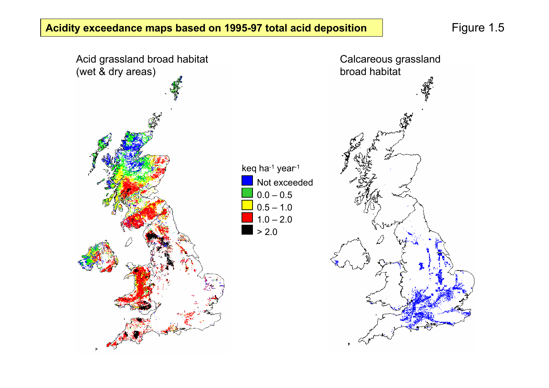Figure 1.5

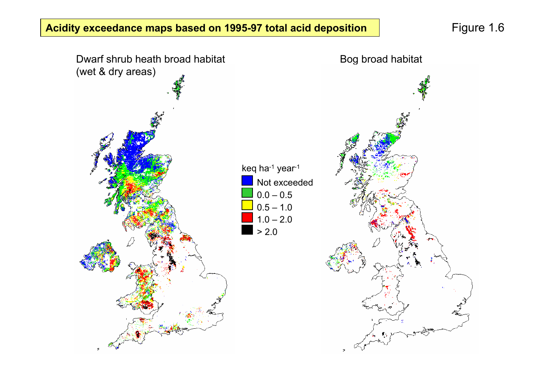Figure 1.6

#### **Acidity exceedance maps based on 1995-97 total acid deposition**

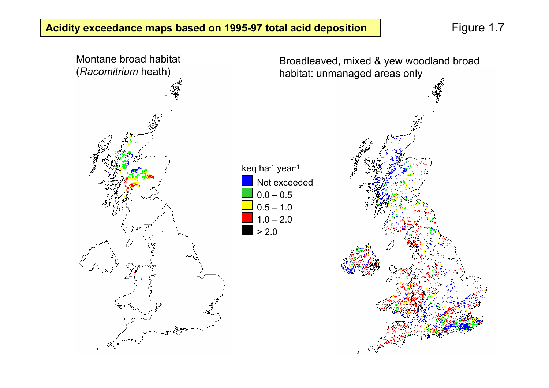**Acidity exceedance maps based on 1995-97 total acid deposition** Figure 1.7

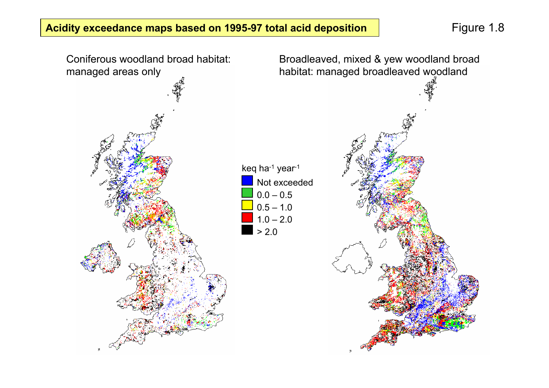#### **Acidity exceedance maps based on 1995-97 total acid deposition Figure 1.8**

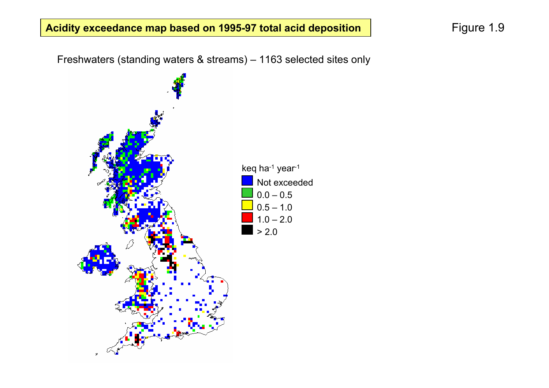## **Acidity exceedance map based on 1995-97 total acid deposition** Figure 1.9

Freshwaters (standing waters & streams) – 1163 selected sites only

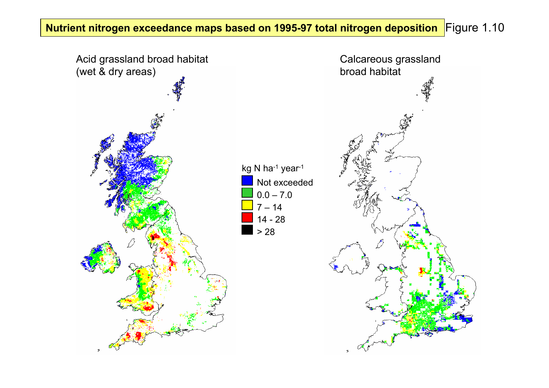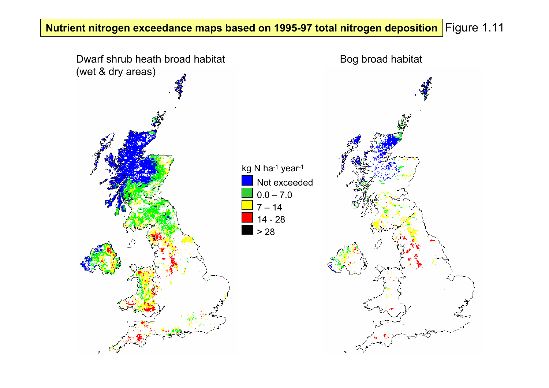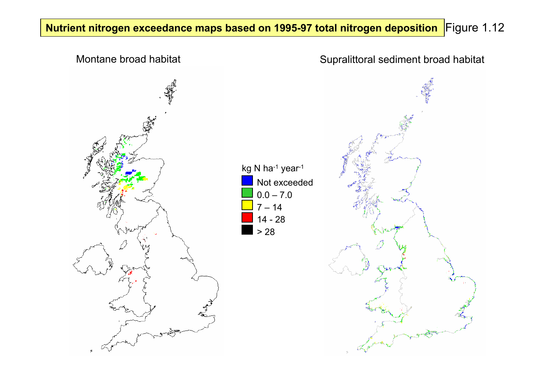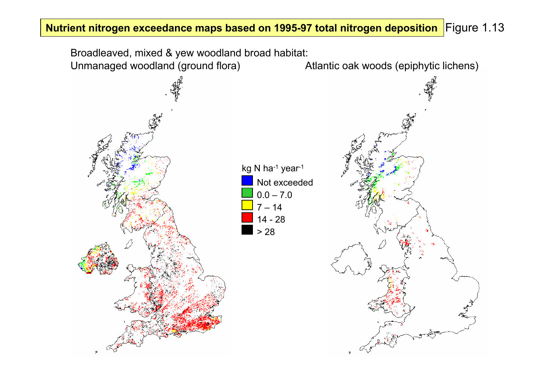